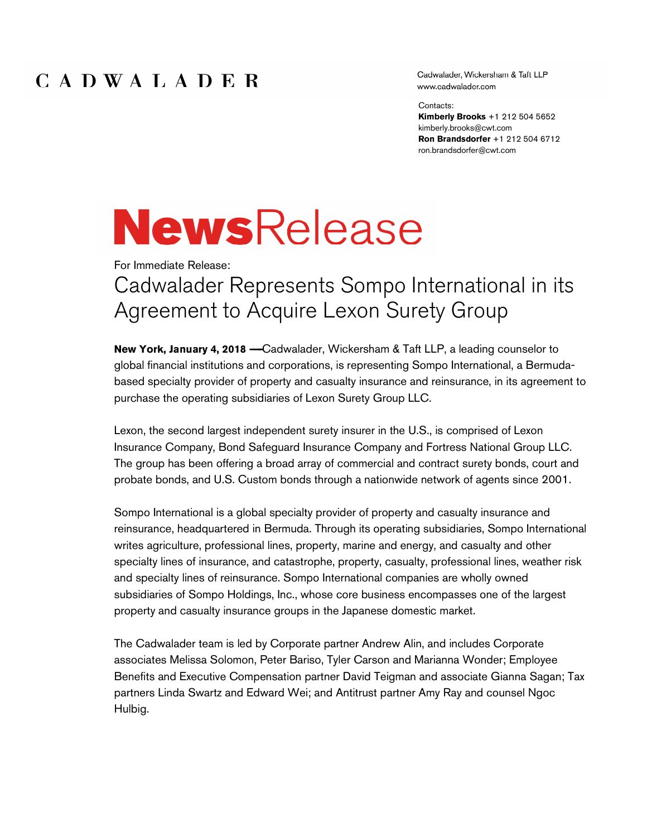### CADWALADER

Cadwalader, Wickersham & Taft LLP www.cadwalader.com

Contacts:

Kimberly Brooks +1 212 504 5652 kimberly.brooks@cwt.com Ron Brandsdorfer +1 212 504 6712 ron.brandsdorfer@cwt.com

# **NewsRelease**

For Immediate Release:

## Cadwalader Represents Sompo International in its Agreement to Acquire Lexon Surety Group

New York, January 4, 2018 - Cadwalader, Wickersham & Taft LLP, a leading counselor to global financial institutions and corporations, is representing Sompo International, a Bermudabased specialty provider of property and casualty insurance and reinsurance, in its agreement to purchase the operating subsidiaries of Lexon Surety Group LLC.

Lexon, the second largest independent surety insurer in the U.S., is comprised of Lexon Insurance Company, Bond Safeguard Insurance Company and Fortress National Group LLC. The group has been offering a broad array of commercial and contract surety bonds, court and probate bonds, and U.S. Custom bonds through a nationwide network of agents since 2001.

Sompo International is a global specialty provider of property and casualty insurance and reinsurance, headquartered in Bermuda. Through its operating subsidiaries, Sompo International writes agriculture, professional lines, property, marine and energy, and casualty and other specialty lines of insurance, and catastrophe, property, casualty, professional lines, weather risk and specialty lines of reinsurance. Sompo International companies are wholly owned subsidiaries of Sompo Holdings, Inc., whose core business encompasses one of the largest property and casualty insurance groups in the Japanese domestic market.

The Cadwalader team is led by Corporate partner Andrew Alin, and includes Corporate associates Melissa Solomon, Peter Bariso, Tyler Carson and Marianna Wonder; Employee Benefits and Executive Compensation partner David Teigman and associate Gianna Sagan; Tax partners Linda Swartz and Edward Wei; and Antitrust partner Amy Ray and counsel Ngoc Hulbig.